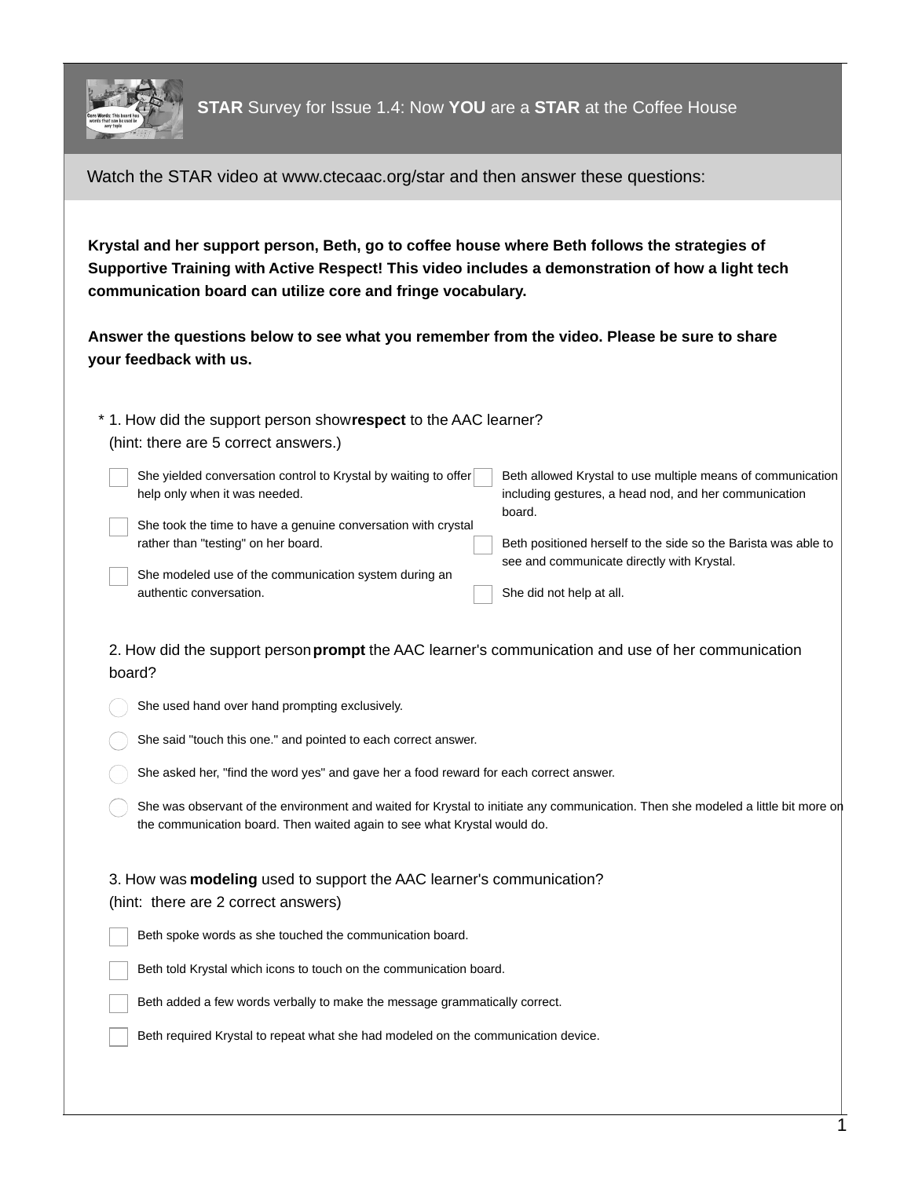

Watch the STAR video at www.ctecaac.org/star and then answer these questions:

**Krystal and her support person, Beth, go to coffee house where Beth follows the strategies of Supportive Training with Active Respect! This video includes a demonstration of how a light tech communication board can utilize core and fringe vocabulary.**

**Answer the questions below to see what you remember from the video. Please be sure to share your feedback with us.**

1. How did the support person show**respect** to the AAC learner? \* (hint: there are 5 correct answers.)

She yielded conversation control to Krystal by waiting to offer help only when it was needed. She took the time to have a genuine conversation with crystal rather than "testing" on her board. She modeled use of the communication system during an Beth allowed Krystal to use multiple means of communication including gestures, a head nod, and her communication board. Beth positioned herself to the side so the Barista was able to see and communicate directly with Krystal.

authentic conversation.

She did not help at all.

2. How did the support person**prompt** the AAC learner's communication and use of her communication board?

She used hand over hand prompting exclusively.

She said "touch this one." and pointed to each correct answer.

She asked her, "find the word yes" and gave her a food reward for each correct answer.

She was observant of the environment and waited for Krystal to initiate any communication. Then she modeled a little bit more on the communication board. Then waited again to see what Krystal would do.

## 3. How was **modeling** used to support the AAC learner's communication? (hint: there are 2 correct answers)

Beth spoke words as she touched the communication board.

Beth told Krystal which icons to touch on the communication board.

Beth added a few words verbally to make the message grammatically correct.

Beth required Krystal to repeat what she had modeled on the communication device.